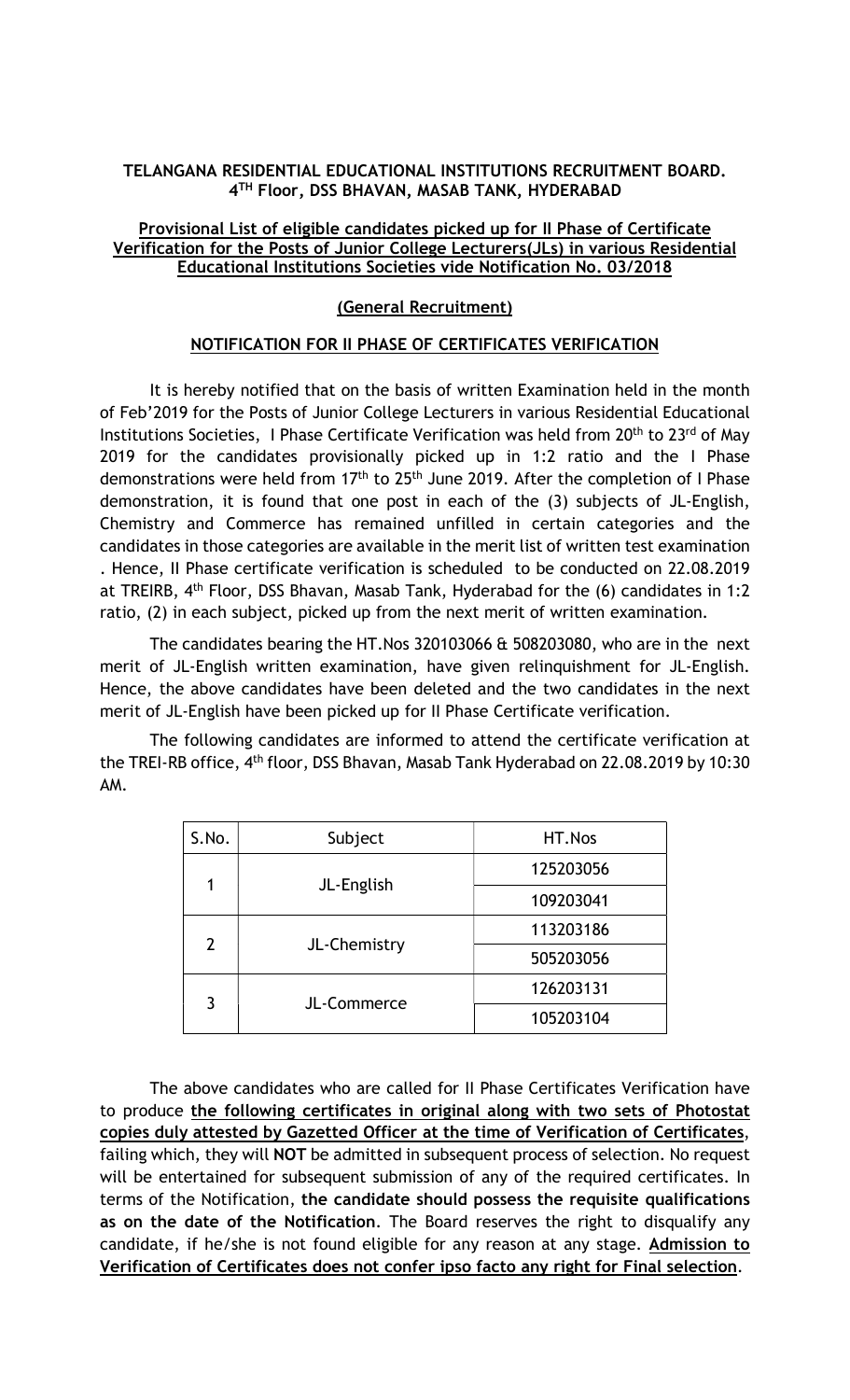## TELANGANA RESIDENTIAL EDUCATIONAL INSTITUTIONS RECRUITMENT BOARD. 4 TH Floor, DSS BHAVAN, MASAB TANK, HYDERABAD

## Provisional List of eligible candidates picked up for II Phase of Certificate Verification for the Posts of Junior College Lecturers(JLs) in various Residential Educational Institutions Societies vide Notification No. 03/2018

## (General Recruitment)

## NOTIFICATION FOR II PHASE OF CERTIFICATES VERIFICATION

It is hereby notified that on the basis of written Examination held in the month of Feb'2019 for the Posts of Junior College Lecturers in various Residential Educational Institutions Societies, I Phase Certificate Verification was held from 20<sup>th</sup> to 23<sup>rd</sup> of May 2019 for the candidates provisionally picked up in 1:2 ratio and the I Phase demonstrations were held from  $17<sup>th</sup>$  to  $25<sup>th</sup>$  June 2019. After the completion of I Phase demonstration, it is found that one post in each of the (3) subjects of JL-English, Chemistry and Commerce has remained unfilled in certain categories and the candidates in those categories are available in the merit list of written test examination . Hence, II Phase certificate verification is scheduled to be conducted on 22.08.2019 at TREIRB, 4th Floor, DSS Bhavan, Masab Tank, Hyderabad for the (6) candidates in 1:2 ratio, (2) in each subject, picked up from the next merit of written examination.

The candidates bearing the HT.Nos 320103066 & 508203080, who are in the next merit of JL-English written examination, have given relinquishment for JL-English. Hence, the above candidates have been deleted and the two candidates in the next merit of JL-English have been picked up for II Phase Certificate verification.

The following candidates are informed to attend the certificate verification at the TREI-RB office, 4th floor, DSS Bhavan, Masab Tank Hyderabad on 22.08.2019 by 10:30 AM.

| S.No.          | Subject      | HT.Nos    |
|----------------|--------------|-----------|
| 1              | JL-English   | 125203056 |
|                |              | 109203041 |
| $\overline{2}$ | JL-Chemistry | 113203186 |
|                |              | 505203056 |
| 3              | JL-Commerce  | 126203131 |
|                |              | 105203104 |

The above candidates who are called for II Phase Certificates Verification have to produce the following certificates in original along with two sets of Photostat copies duly attested by Gazetted Officer at the time of Verification of Certificates, failing which, they will NOT be admitted in subsequent process of selection. No request will be entertained for subsequent submission of any of the required certificates. In terms of the Notification, the candidate should possess the requisite qualifications as on the date of the Notification. The Board reserves the right to disqualify any candidate, if he/she is not found eligible for any reason at any stage. Admission to Verification of Certificates does not confer ipso facto any right for Final selection.